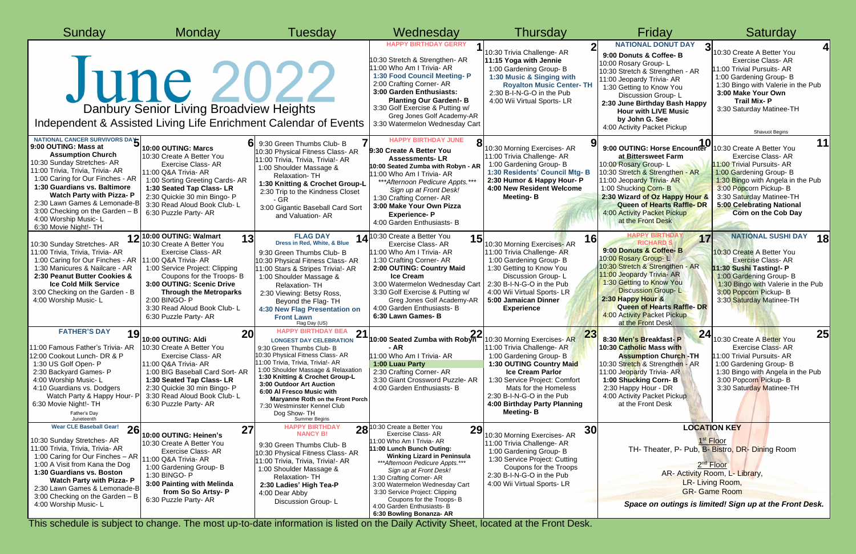| Sunday                                                                                                                                                                                                                                                                                                                                                                          | <b>Monday</b>                                                                                                                                                                                                                                                                         | Tuesday                                                                                                                                                                                                                                                                                                                                                                                                              | Wednesday                                                                                                                                                                                                                                                                                                                                                                                                     | Thursday                                                                                                                                                                                                                                                                                           | Friday                                                                                                                                                                                                                                                                                                                            | Saturday                                                                                                                                                                                                                                                        |
|---------------------------------------------------------------------------------------------------------------------------------------------------------------------------------------------------------------------------------------------------------------------------------------------------------------------------------------------------------------------------------|---------------------------------------------------------------------------------------------------------------------------------------------------------------------------------------------------------------------------------------------------------------------------------------|----------------------------------------------------------------------------------------------------------------------------------------------------------------------------------------------------------------------------------------------------------------------------------------------------------------------------------------------------------------------------------------------------------------------|---------------------------------------------------------------------------------------------------------------------------------------------------------------------------------------------------------------------------------------------------------------------------------------------------------------------------------------------------------------------------------------------------------------|----------------------------------------------------------------------------------------------------------------------------------------------------------------------------------------------------------------------------------------------------------------------------------------------------|-----------------------------------------------------------------------------------------------------------------------------------------------------------------------------------------------------------------------------------------------------------------------------------------------------------------------------------|-----------------------------------------------------------------------------------------------------------------------------------------------------------------------------------------------------------------------------------------------------------------|
|                                                                                                                                                                                                                                                                                                                                                                                 | June 2022<br>Danbury Senior Living Broadview Heights<br>Independent & Assisted Living Life Enrichment Calendar of Events                                                                                                                                                              |                                                                                                                                                                                                                                                                                                                                                                                                                      | <b>HAPPY BIRTHDAY GERRY</b><br>10:30 Stretch & Strengthen- AR<br>11:00 Who Am I Trivia- AR<br>1:30 Food Council Meeting- P<br>2:00 Crafting Corner- AR<br>3:00 Garden Enthusiasts:<br><b>Planting Our Garden!- B</b><br>3:30 Golf Exercise & Putting w/<br>Greg Jones Golf Academy-AR<br>3:30 Watermelon Wednesday Cart                                                                                       | 10:30 Trivia Challenge- AR<br>11:15 Yoga with Jennie<br>1:00 Gardening Group-B<br>1:30 Music & Singing with<br><b>Royalton Music Center- TH</b><br>2:30 B-I-N-G-O in the Pub<br>4:00 Wii Virtual Sports- LR                                                                                        | <b>NATIONAL DONUT DAY</b><br>9:00 Donuts & Coffee- B<br>10:00 Rosary Group-L<br>10:30 Stretch & Strengthen - AR<br>11:00 Jeopardy Trivia- AR<br>1:30 Getting to Know You<br>Discussion Group-L<br>2:30 June Birthday Bash Happy<br><b>Hour with LIVE Music</b><br>by John G. See<br>4:00 Activity Packet Pickup                   | 10:30 Create A Better You<br><b>Exercise Class-AR</b><br>11:00 Trivial Pursuits- AR<br>1:00 Gardening Group- B<br>1:30 Bingo with Valerie in the Pub<br>3:00 Make Your Own<br><b>Trail Mix-P</b><br>3:30 Saturday Matinee-TH<br>Shavuot Begins                  |
| NATIONAL CANCER SURVIVORS DAY<br>9:00 OUTING: Mass at<br><b>Assumption Church</b><br>10:30 Sunday Stretches- AR<br>11:00 Trivia, Trivia, Trivia- AR<br>1:00 Caring for Our Finches - AR<br>1:30 Guardians vs. Baltimore<br><b>Watch Party with Pizza- P</b><br>2:30 Lawn Games & Lemonade-B<br>3:00 Checking on the Garden - B<br>4:00 Worship Music-L<br>6:30 Movie Night!- TH | 10:00 OUTING: Marcs<br>10:30 Create A Better You<br>Exercise Class-AR<br>11:00 Q&A Trivia- AR<br>1:00 Sorting Greeting Cards- AR<br>1:30 Seated Tap Class-LR<br>2:30 Quickie 30 min Bingo- P<br>3:30 Read Aloud Book Club-L<br>6:30 Puzzle Party- AR                                  | 9:30 Green Thumbs Club- B<br>10:30 Physical Fitness Class- AR<br>11:00 Trivia, Trivia, Trivia!- AR<br>1:00 Shoulder Massage &<br>Relaxation-TH<br>1:30 Knitting & Crochet Group-L<br>2:30 Trip to the Kindness Closet<br>$-$ GR<br>3:00 Gigantic Baseball Card Sort<br>and Valuation- AR                                                                                                                             | <b>HAPPY BIRTHDAY JUNE</b><br>9:30 Create A Better You<br><b>Assessments-LR</b><br>10:00 Seated Zumba with Robyn - Al<br>11:00 Who Am I Trivia- AR<br>*** Afternoon Pedicure Appts. ***<br>Sign up at Front Desk!<br>1:30 Crafting Corner- AR<br>3:00 Make Your Own Pizza<br><b>Experience-P</b><br>4:00 Garden Enthusiasts- B                                                                                | 10:30 Morning Exercises- AR<br>11:00 Trivia Challenge- AR<br>1:00 Gardening Group- B<br>1:30 Residents' Council Mtg- B<br>2:30 Humor & Happy Hour- P<br>4:00 New Resident Welcome<br><b>Meeting-B</b>                                                                                              | 9:00 OUTING: Horse Encounter 10:30 Create A Better You<br>at Bittersweet Farm<br>10:00 Rosary Group-L<br>10:30 Stretch & Strengthen - AR<br>11:00 Jeopardy Trivia- AR<br>1:00 Shucking Corn-B<br>2:30 Wizard of Oz Happy Hour 8<br><b>Queen of Hearts Raffle- DR</b><br>4:00 Activity Packet Pickup<br>at the Front Desk          | 11<br><b>Exercise Class-AR</b><br>11:00 Trivial Pursuits- AR<br>1:00 Gardening Group- B<br>1:30 Bingo with Angela in the Pub<br>3:00 Popcorn Pickup-B<br>3:30 Saturday Matinee-TH<br>5:00 Celebrating National<br><b>Corn on the Cob Day</b>                    |
| 10:30 Sunday Stretches- AR<br>11:00 Trivia, Trivia, Trivia- AR<br>1:00 Caring for Our Finches - AR   11:00 Q&A Trivia- AR<br>1:30 Manicures & Nailcare - AR<br>2:30 Peanut Butter Cookies &<br><b>Ice Cold Milk Service</b><br>3:00 Checking on the Garden - B<br>4:00 Worship Music-L                                                                                          | 12 10:00 OUTING: Walmart<br>13<br>10:30 Create A Better You<br>Exercise Class-AR<br>1:00 Service Project: Clipping<br>Coupons for the Troops-B<br>3:00 OUTING: Scenic Drive<br><b>Through the Metroparks</b><br>2:00 BINGO- P<br>3:30 Read Aloud Book Club-L<br>6:30 Puzzle Party- AR | <b>FLAG DAY</b><br>Dress in Red, White, & Blue<br>9:30 Green Thumbs Club- B<br>10:30 Physical Fitness Class- AR<br>11:00 Stars & Stripes Trivia!- AR<br>1:00 Shoulder Massage &<br>Relaxation-TH<br>2:30 Viewing: Betsy Ross,<br>Beyond the Flag-TH<br>4:30 New Flag Presentation on<br><b>Front Lawn</b><br>Flag Day (US)                                                                                           | 14 <sup>10:30</sup> Create a Better You<br>15<br><b>Exercise Class-AR</b><br>11:00 Who Am I Trivia- AR<br>1:30 Crafting Corner- AR<br>2:00 OUTING: Country Maid<br><b>Ice Cream</b><br>3:00 Watermelon Wednesday Cart<br>3:30 Golf Exercise & Putting w/<br>Greg Jones Golf Academy-AR<br>4:00 Garden Enthusiasts- B<br>6:30 Lawn Games-B                                                                     | 16<br>10:30 Morning Exercises-AR<br>11:00 Trivia Challenge- AR<br>1:00 Gardening Group-B<br>1:30 Getting to Know You<br>Discussion Group-L<br>2:30 B-I-N-G-O in the Pub<br>4:00 Wii Virtual Sports- LR<br>5:00 Jamaican Dinner<br><b>Experience</b>                                                | HAPPY BIRTHDA<br>17<br><b>RICHARD S</b><br>9:00 Donuts & Coffee- B<br>10:00 Rosary Group-L<br>10:30 Stretch & Strengthen - AR<br>11:00 Jeopardy Trivia- AR<br>1:30 Getting to Know You<br><b>Discussion Group-L</b><br>2:30 Happy Hour &<br><b>Queen of Hearts Raffle- DR</b><br>4:00 Activity Packet Pickup<br>at the Front Desk | <b>NATIONAL SUSHI DAY</b><br><b>18</b><br>10:30 Create A Better You<br><b>Exercise Class-AR</b><br>11:30 Sushi Tasting!- P<br>1:00 Gardening Group- B<br>1:30 Bingo with Valerie in the Pub<br>3:00 Popcorn Pickup-B<br>3:30 Saturday Matinee-TH                |
| <b>FATHER'S DAY</b><br>10<br>ט ו<br>11:00 Famous Father's Trivia- AR<br>12:00 Cookout Lunch- DR & P<br>1:30 US Golf Open- P<br>2:30 Backyard Games- P<br>4:00 Worship Music-L<br>4:10 Guardians vs. Dodgers<br>Watch Party & Happy Hour- F<br>6:30 Movie Night!- TH<br>Father's Day<br>Juneteenth                                                                               | 20 <sup>l</sup><br>10:00 OUTING: Aldi<br>10:30 Create A Better You<br><b>Exercise Class-AR</b><br>11:00 Q&A Trivia- AR<br>1:00 BIG Baseball Card Sort- AR<br>1:30 Seated Tap Class-LR<br>2:30 Quickie 30 min Bingo- P<br>3:30 Read Aloud Book Club-L<br>6:30 Puzzle Party- AR         | <b>HAPPY BIRTHDAY BEA</b><br>21<br><b>LONGEST DAY CELEBRATION</b><br>9:30 Green Thumbs Club- B<br>10:30 Physical Fitness Class- AR<br>11:00 Trivia, Trivia, Trivia!- AR<br>1:00 Shoulder Massage & Relaxation<br>1:30 Knitting & Crochet Group-L<br>3:00 Outdoor Art Auction<br>6:00 Al Fresco Music with<br>Maryanne Roth on the Front Porch<br>7:30 Westminster Kennel Club<br>Dog Show-TH<br><b>Summer Begins</b> | 22<br>10:00 Seated Zumba with Robyn-<br>- AR<br>11:00 Who Am I Trivia- AR<br>1:00 Luau Party<br>2:30 Crafting Corner-AR<br>3:30 Giant Crossword Puzzle- AR<br>4:00 Garden Enthusiasts- B                                                                                                                                                                                                                      | 22<br>LV<br>10:30 Morning Exercises- AR<br>11:00 Trivia Challenge- AR<br>1:00 Gardening Group- B<br>1:30 OUTING Country Maid<br><b>Ice Cream Parlor</b><br>1:30 Service Project: Comfort<br>Mats for the Homeless<br>2:30 B-I-N-G-O in the Pub<br>4:00 Birthday Party Planning<br><b>Meeting-B</b> | 24<br>8:30 Men's Breakfast-P<br>10:30 Catholic Mass with<br><b>Assumption Church - TH</b><br>10:30 Stretch & Strengthen - AR<br>11:00 Jeopardy Trivia- AR<br>1:00 Shucking Corn- B<br>2:30 Happy Hour - DR<br>4:00 Activity Packet Pickup<br>at the Front Desk                                                                    | 25<br>10:30 Create A Better You<br><b>Exercise Class-AR</b><br>11:00 Trivial Pursuits- AR<br>1:00 Gardening Group- B<br>1:30 Bingo with Angela in the Pub<br>3:00 Popcorn Pickup- B<br>3:30 Saturday Matinee-TH                                                 |
| <b>Wear CLE Baseball Gear!</b><br>26<br>10:30 Sunday Stretches- AR<br>11:00 Trivia, Trivia, Trivia- AR<br>1:00 Caring for Our Finches - AR<br>1:00 A Visit from Kana the Dog<br>1:30 Guardians vs. Boston<br><b>Watch Party with Pizza- P</b><br>2:30 Lawn Games & Lemonade-B<br>3:00 Checking on the Garden - B<br>4:00 Worship Music-L                                        | 27<br>10:00 OUTING: Heinen's<br>10:30 Create A Better You<br>Exercise Class-AR<br>11:00 Q&A Trivia- AR<br>1:00 Gardening Group- B<br>1:30 BINGO- P<br>3:00 Painting with Melinda<br>from So So Artsy- P<br>6:30 Puzzle Party- AR                                                      | <b>HAPPY BIRTHDAY</b><br>28<br><b>NANCY B!</b><br>9:30 Green Thumbs Club- B<br>10:30 Physical Fitness Class- AR<br>11:00 Trivia, Trivia, Trivia!- AR<br>1:00 Shoulder Massage &<br>Relaxation-TH<br>2:30 Ladies' High Tea-P<br>4:00 Dear Abby<br>Discussion Group-L                                                                                                                                                  | 0:30 Create a Better You<br>29<br><b>Exercise Class-AR</b><br>11:00 Who Am I Trivia- AR<br>11:00 Lunch Bunch Outing:<br><b>Winking Lizard in Peninsula</b><br>***Afternoon Pedicure Appts.***<br>Sign up at Front Desk!<br>1:30 Crafting Corner- AR<br>3:00 Watermelon Wednesday Cart<br>3:30 Service Project: Clipping<br>Coupons for the Troops-B<br>4:00 Garden Enthusiasts- B<br>6:30 Bowling Bonanza- AR | 30<br>10:30 Morning Exercises- AR<br>11:00 Trivia Challenge- AR<br>1:00 Gardening Group- B<br>1:30 Service Project: Cutting<br>Coupons for the Troops<br>2:30 B-I-N-G-O in the Pub<br>4:00 Wii Virtual Sports- LR                                                                                  |                                                                                                                                                                                                                                                                                                                                   | <b>LOCATION KEY</b><br>1 <sup>st</sup> Floor<br>TH- Theater, P- Pub, B- Bistro, DR- Dining Room<br>2 <sup>nd</sup> Floor<br>AR- Activity Room, L- Library,<br>LR-Living Room,<br><b>GR-Game Room</b><br>Space on outings is limited! Sign up at the Front Desk. |

This schedule is subject to change. The most up-to-date information is listed on the Daily Activity Sheet, located at the Front Desk.